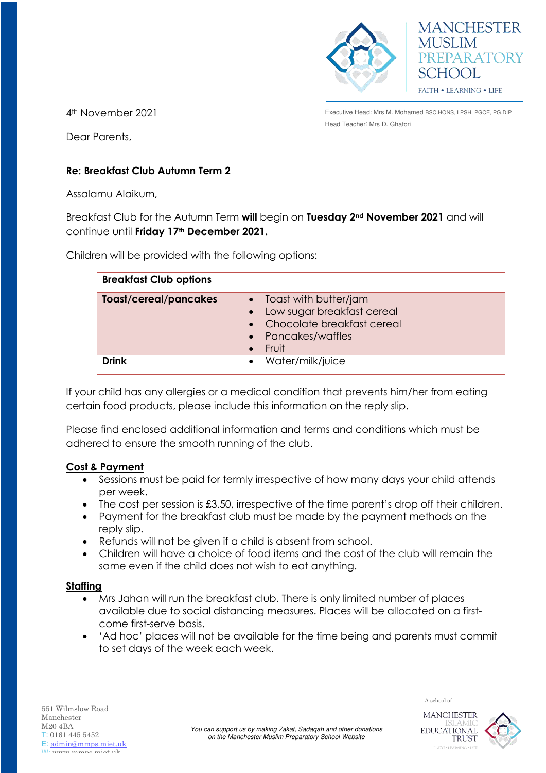



4th November 2021

Executive Head: Mrs M. Mohamed BSC.HONS, LPSH, PGCE, PG.DIP Head Teacher: Mrs D. Ghafori

Dear Parents,

# **Re: Breakfast Club Autumn Term 2**

Assalamu Alaikum,

Breakfast Club for the Autumn Term **will** begin on **Tuesday 2nd November 2021** and will continue until **Friday 17th December 2021.**

Children will be provided with the following options:

| <b>Breakfast Club options</b> |                                                                                                                      |
|-------------------------------|----------------------------------------------------------------------------------------------------------------------|
| <b>Toast/cereal/pancakes</b>  | • Toast with butter/jam<br>Low sugar breakfast cereal<br>• Chocolate breakfast cereal<br>• Pancakes/waffles<br>Fruit |
| <b>Drink</b>                  | • Water/milk/juice                                                                                                   |

If your child has any allergies or a medical condition that prevents him/her from eating certain food products, please include this information on the reply slip.

Please find enclosed additional information and terms and conditions which must be adhered to ensure the smooth running of the club.

# **Cost & Payment**

- Sessions must be paid for termly irrespective of how many days your child attends per week.
- The cost per session is £3.50, irrespective of the time parent's drop off their children.
- Payment for the breakfast club must be made by the payment methods on the reply slip.
- Refunds will not be given if a child is absent from school.
- Children will have a choice of food items and the cost of the club will remain the same even if the child does not wish to eat anything.

### **Staffing**

- Mrs Jahan will run the breakfast club. There is only limited number of places available due to social distancing measures. Places will be allocated on a firstcome first-serve basis.
- 'Ad hoc' places will not be available for the time being and parents must commit to set days of the week each week.





A school of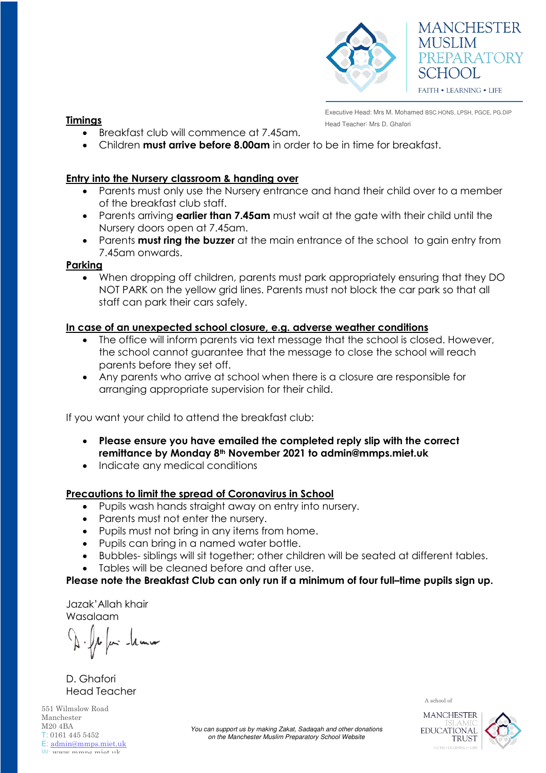

# **MANCHESTER MUSLIM** PREPARATORY SCHOOL **FAITH • LEARNING • LIFE**

Executive Head: Mrs M. Mohamed BSC.HONS, LPSH, PGCE, PG.DIP **Fimings** Head Teacher: Mrs D. Ghafori

- Breakfast club will commence at 7.45am.
- Children **must arrive before 8.00am** in order to be in time for breakfast.

### **Entry into the Nursery classroom & handing over**

- Parents must only use the Nursery entrance and hand their child over to a member of the breakfast club staff.
- Parents arriving **earlier than 7.45am** must wait at the gate with their child until the Nursery doors open at 7.45am.
- Parents **must ring the buzzer** at the main entrance of the school to gain entry from 7.45am onwards.

#### **Parking**

When dropping off children, parents must park appropriately ensuring that they DO NOT PARK on the yellow grid lines. Parents must not block the car park so that all staff can park their cars safely.

### **In case of an unexpected school closure, e.g. adverse weather conditions**

- The office will inform parents via text message that the school is closed. However, the school cannot guarantee that the message to close the school will reach parents before they set off.
- Any parents who arrive at school when there is a closure are responsible for arranging appropriate supervision for their child.

If you want your child to attend the breakfast club:

- **Please ensure you have emailed the completed reply slip with the correct remittance by Monday 8th November 2021 to admin@mmps.miet.uk**
- Indicate any medical conditions

### **Precautions to limit the spread of Coronavirus in School**

- Pupils wash hands straight away on entry into nursery.
- Parents must not enter the nursery.
- Pupils must not bring in any items from home.
- Pupils can bring in a named water bottle.
- Bubbles- siblings will sit together; other children will be seated at different tables.
- Tables will be cleaned before and after use.

### **Please note the Breakfast Club can only run if a minimum of four full–time pupils sign up.**

Jazak'Allah khair Wasalaam

D. Ghafori Head Teacher

551 Wilmslow Road Manchester M20 4BA T: 0161 445 5452 E: [admin@mmps.miet.uk](mailto:admin@mmps.miet.uk) W: www.mmne miet.uk

A school of



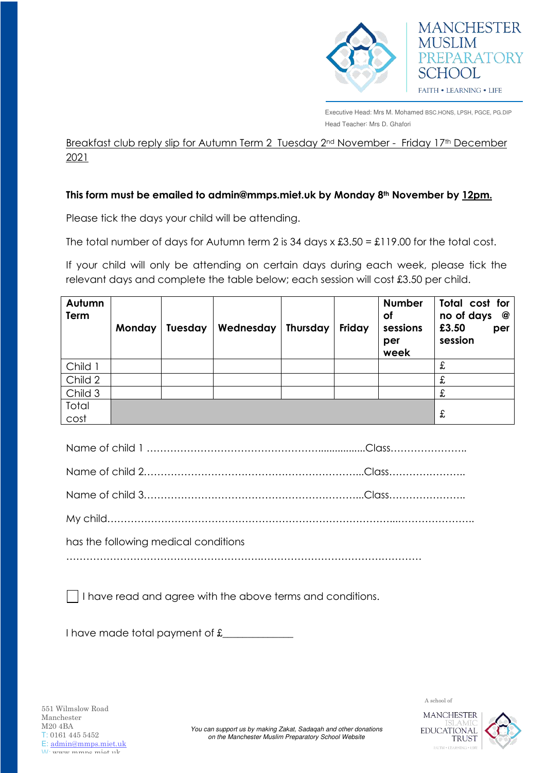

Executive Head: Mrs M. Mohamed BSC.HONS, LPSH, PGCE, PG.DIP Head Teacher: Mrs D. Ghafori

**MANCHESTER** 

PREPARATORY

**MUSLIM** 

SCHOOL

FAITH . LEARNING . LIFE

Breakfast club reply slip for Autumn Term 2 Tuesday 2<sup>nd</sup> November - Friday 17<sup>th</sup> December 2021

### **This form must be emailed to admin@mmps.miet.uk by Monday 8th November by 12pm.**

Please tick the days your child will be attending.

The total number of days for Autumn term 2 is 34 days  $x £3.50 = £119.00$  for the total cost.

If your child will only be attending on certain days during each week, please tick the relevant days and complete the table below; each session will cost £3.50 per child.

| Autumn<br>Term | Monday | Tuesday | Wednesday | <b>Thursday</b> | Friday | <b>Number</b><br><b>of</b><br>sessions<br>per<br>week | Total cost for<br>no of days<br>@<br>£3.50<br>per<br>session |
|----------------|--------|---------|-----------|-----------------|--------|-------------------------------------------------------|--------------------------------------------------------------|
| Child 1        |        |         |           |                 |        |                                                       | £                                                            |
| Child 2        |        |         |           |                 |        |                                                       | £                                                            |
| Child 3        |        |         |           |                 |        |                                                       | £                                                            |
| Total<br>cost  |        |         |           |                 |        |                                                       | £                                                            |

| has the following medical conditions |  |
|--------------------------------------|--|
|                                      |  |

I have read and agree with the above terms and conditions.

I have made total payment of £\_\_\_\_\_\_\_\_\_\_\_\_\_\_